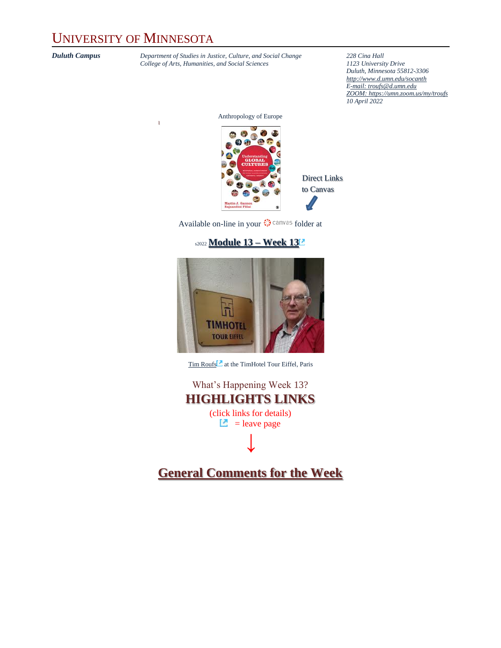## UNIVERSITY OF MINNESOTA

l

*Duluth Campus Department of Studies in Justice, Culture, and Social Change* **228** *Cina Hall College of Arts, Humanities, and Social Sciences 1123 University Drive College of Arts, Humanities, and Social Sciences 1123 University Drive*

*Duluth, Minnesota 55812-3306 <http://www.d.umn.edu/socanth> E-mail: [troufs@d.umn.edu](mailto:troufs@d.umn.edu) ZOOM[: https://umn.zoom.us/my/troufs](https://umn.zoom.us/my/troufs) 10 April 2022*

Anthropology of Europe



to Canvas

Available on-line in your  $\bigcirc$  canvas folder at

#### s2022 **[Module 13](https://canvas.umn.edu/courses/282731/modules/945927) – Week 13**



[Tim Roufs](http://www.d.umn.edu/~troufs/#title)<sup>2</sup> at the TimHotel Tour Eiffel, Paris

What's Happening Week 13? **HIGHLIGHTS LINKS** (click links for details)  $\Box$  = leave page **↓**

**[General Comments for the Week](#page-5-0)**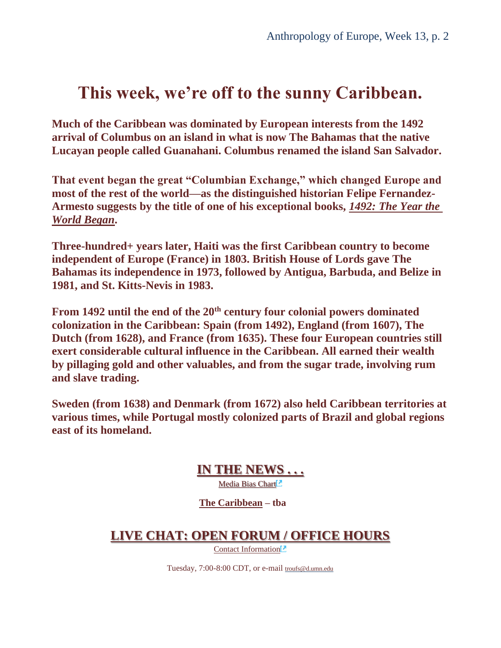## **This week, we're off to the sunny Caribbean.**

**Much of the Caribbean was dominated by European interests from the 1492 arrival of Columbus on an island in what is now The Bahamas that the native Lucayan people called Guanahani. Columbus renamed the island San Salvador.** 

**That event began the great "Columbian Exchange," which changed Europe and most of the rest of the world—as the distinguished historian Felipe Fernandez-Armesto suggests by the title of one of his exceptional books,** *[1492: The Year the](https://www.amazon.com/1492-World-Began-Felipe-Fernandez-Armesto/dp/0061132284/ref=sr_1_1?keywords=1492+the+year+the+world+began&qid=1637113085&qsid=142-8541929-7170761&sr=8-1&sres=0061132284%2C1400032059%2C0307278247%2C0399562419%2CB009RKDLRS&srpt=ABIS_BOOK)  [World Began](https://www.amazon.com/1492-World-Began-Felipe-Fernandez-Armesto/dp/0061132284/ref=sr_1_1?keywords=1492+the+year+the+world+began&qid=1637113085&qsid=142-8541929-7170761&sr=8-1&sres=0061132284%2C1400032059%2C0307278247%2C0399562419%2CB009RKDLRS&srpt=ABIS_BOOK)***.**

**Three-hundred+ years later, Haiti was the first Caribbean country to become independent of Europe (France) in 1803. British House of Lords gave The Bahamas its independence in 1973, followed by Antigua, Barbuda, and Belize in 1981, and St. Kitts-Nevis in 1983.** 

**From 1492 until the end of the 20th century four colonial powers dominated colonization in the Caribbean: Spain (from 1492), England (from 1607), The Dutch (from 1628), and France (from 1635). These four European countries still exert considerable cultural influence in the Caribbean. All earned their wealth by pillaging gold and other valuables, and from the sugar trade, involving rum and slave trading.**

**Sweden (from 1638) and Denmark (from 1672) also held Caribbean territories at various times, while Portugal mostly colonized parts of Brazil and global regions east of its homeland.** 

**[IN THE NEWS . . .](#page-6-0)**

Media Bias Chart<sup>1</sup>

**[The Caribbean](https://www.d.umn.edu/cla/faculty/troufs/anth1095/Caribbean.html#project_sources) – tba**

**[LIVE CHAT: OPEN FORUM / OFFICE HOURS](#page-6-1)**

[Contact Information](http://www.d.umn.edu/cla/faculty/troufs/anth1602/pcoffice.html#title)<sup>2</sup>

Tuesday, 7:00-8:00 CDT, or e-mail [troufs@d.umn.edu](mailto:troufs@d.umn.edu)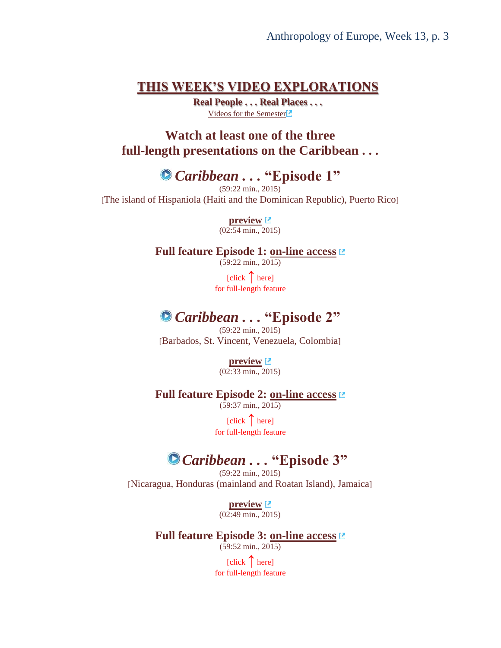### **[THIS WEEK'S VIDEO EXPLORATIONS](#page-7-0)**

**Real People . . . Real Places . . .** [Videos for the Semester](https://www.d.umn.edu/cla/faculty/troufs/anth3635/cevideo_schedule.html#title)

**Watch at least one of the three full-length presentations on the Caribbean . . .**

*Caribbean . . .* **"Episode 1"**

(59:22 min., 2015) [The island of Hispaniola (Haiti and the Dominican Republic), Puerto Rico]

> **[preview](https://www.bbcearth.com/video/?v=633899)**  $(02:54 \text{ min.}, 2015)$

**Full feature Episode 1: [on-line access](https://video-alexanderstreet-com.libpdb.d.umn.edu:2443/watch/caribbean-with-simon-reeve-episode-1)**

(59:22 min., 2015)

[click **↑** here] for full-length feature

## *Caribbean . . .* **"Episode 2"**

(59:22 min., 2015) [Barbados, St. Vincent, Venezuela, Colombia]

**[preview](https://www.bbcearth.com/video/?v=633900)**

 $(02:33 \text{ min.}, 2015)$ 

**Full feature Episode 2: [on-line access](https://video-alexanderstreet-com.libpdb.d.umn.edu:2443/watch/caribbean-with-simon-reeve-episode-2)** (59:37 min., 2015)

> [click **↑** here] for full-length feature

## *Caribbean . . .* **"Episode 3"**

(59:22 min., 2015) [Nicaragua, Honduras (mainland and Roatan Island), Jamaica]

> **[preview](https://www.bbcearth.com/video/?v=633901)**  $(02:49 \text{ min.}, 2015)$

**Full feature Episode 3: [on-line access](https://video-alexanderstreet-com.libpdb.d.umn.edu:2443/watch/caribbean-with-simon-reeve-episode-3)**

 $(59:52 \text{ min.}, 2015)$ 

[click **↑** here] for full-length feature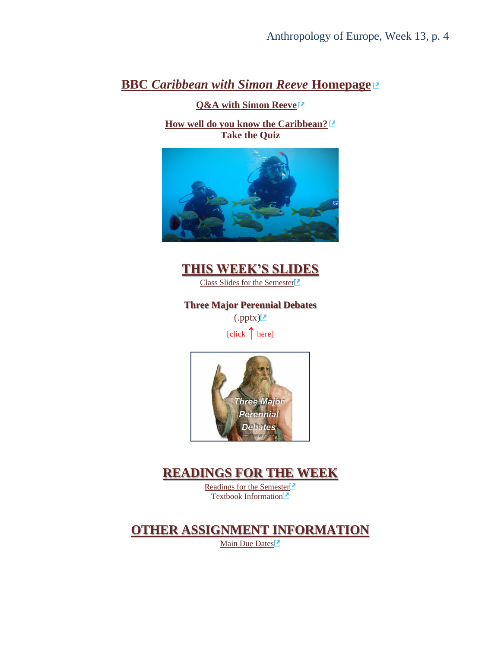### **BBC** *[Caribbean with Simon Reeve](https://www.bbcearth.com/shows/caribbean-with-simon-reeve#_)* **Homepage**

**[Q&A with Simon Reeve](https://www.bbcearth.com/shows/caribbean-with-simon-reeve/modal/q-and-a/)**

**[How well do you know the Caribbean?](https://www.bbcearth.com/shows/caribbean-with-simon-reeve/modal/quiz/) Take the Quiz**





[Class Slides for the Semester](https://www.d.umn.edu/cla/faculty/troufs/anth3635/ceslides.html#title)<sup>2</sup>

**Three Major Perennial Debates**

 $(\text{.pptx})^2$ 

[click **↑** here]



### **[READINGS FOR THE WEEK](#page-9-1)**

[Readings for the Semester](https://www.d.umn.edu/cla/faculty/troufs/anth3635/ceread-s.html#title)<sup>[2]</sup> [Textbook Information](https://www.d.umn.edu/cla/faculty/troufs/anth3635/cetexts.html#title)<sup>[2]</sup>

### **[OTHER ASSIGNMENT INFORMATION](#page-10-0)**

[Main Due Dates](https://www.d.umn.edu/cla/faculty/troufs/anth3635/cedue-dates.html#title)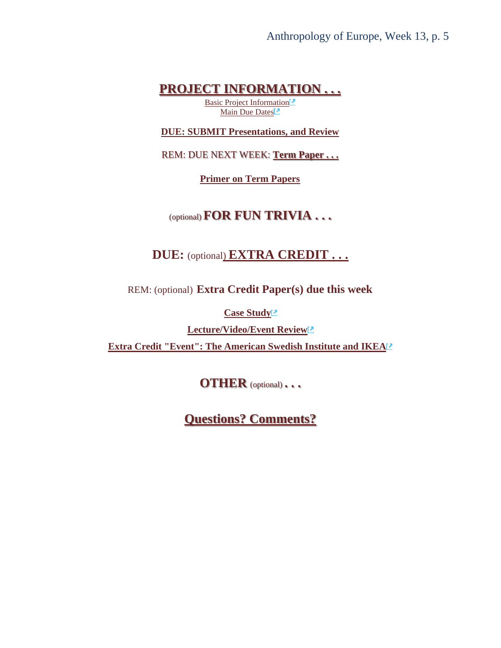Anthropology of Europe, Week 13, p. 5

### **[PROJECT INFORMATION . . .](#page-10-1)**

[Basic Project Information](https://www.d.umn.edu/cla/faculty/troufs/anth3635/ceproject.html#title)<sup>[2]</sup> [Main Due Dates](https://www.d.umn.edu/cla/faculty/troufs/anth3635/cedue-dates.html#title)<sup>[2]</sup>

**[DUE: SUBMIT Presentations, and Review](#page-10-2)**

REM: DUE NEXT WEEK: **[Term Paper . . .](#page-10-1)**

**[Primer on Term Papers](https://canvas.umn.edu/courses/282731/modules/items/6598051)**

### (optional) **FOR FUN TRIVIA . . .**

### **DUE:** (optiona[l\)](#page-12-0) **[EXTRA CREDIT . . .](#page-12-0)**

REM: (optional) **Extra Credit Paper(s) due this week**

**[Case Study](https://www.d.umn.edu/cla/faculty/troufs/anth3635/ceextracredit_cs.html#title)**

**[Lecture/Video/Event Review](https://www.d.umn.edu/cla/faculty/troufs/anth3635/ceextracredit_review.html#title) [Extra Credit "Event": The American Swedish Institute and IKEA](https://canvas.umn.edu/courses/282731/modules/items/6598058)**

**OTHER** (optional) **. . .**

**[Questions? Comments?](#page-12-1)**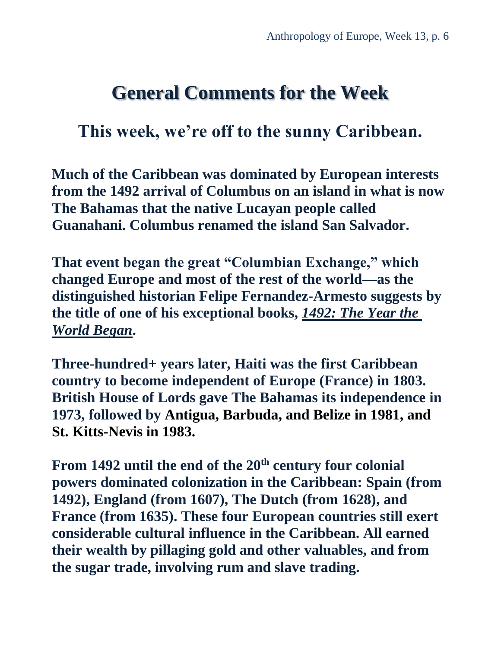## **General Comments for the Week**

## <span id="page-5-0"></span>**This week, we're off to the sunny Caribbean.**

**Much of the Caribbean was dominated by European interests from the 1492 arrival of Columbus on an island in what is now The Bahamas that the native Lucayan people called Guanahani. Columbus renamed the island San Salvador.** 

**That event began the great "Columbian Exchange," which changed Europe and most of the rest of the world—as the distinguished historian Felipe Fernandez-Armesto suggests by the title of one of his exceptional books,** *[1492: The Year the](https://www.amazon.com/1492-World-Began-Felipe-Fernandez-Armesto/dp/0061132284/ref=sr_1_1?keywords=1492+the+year+the+world+began&qid=1637113085&qsid=142-8541929-7170761&sr=8-1&sres=0061132284%2C1400032059%2C0307278247%2C0399562419%2CB009RKDLRS&srpt=ABIS_BOOK)  [World Began](https://www.amazon.com/1492-World-Began-Felipe-Fernandez-Armesto/dp/0061132284/ref=sr_1_1?keywords=1492+the+year+the+world+began&qid=1637113085&qsid=142-8541929-7170761&sr=8-1&sres=0061132284%2C1400032059%2C0307278247%2C0399562419%2CB009RKDLRS&srpt=ABIS_BOOK)***.**

**Three-hundred+ years later, Haiti was the first Caribbean country to become independent of Europe (France) in 1803. British House of Lords gave The Bahamas its independence in 1973, followed by Antigua, Barbuda, and Belize in 1981, and St. Kitts-Nevis in 1983.**

**From 1492 until the end of the 20th century four colonial powers dominated colonization in the Caribbean: Spain (from 1492), England (from 1607), The Dutch (from 1628), and France (from 1635). These four European countries still exert considerable cultural influence in the Caribbean. All earned their wealth by pillaging gold and other valuables, and from the sugar trade, involving rum and slave trading.**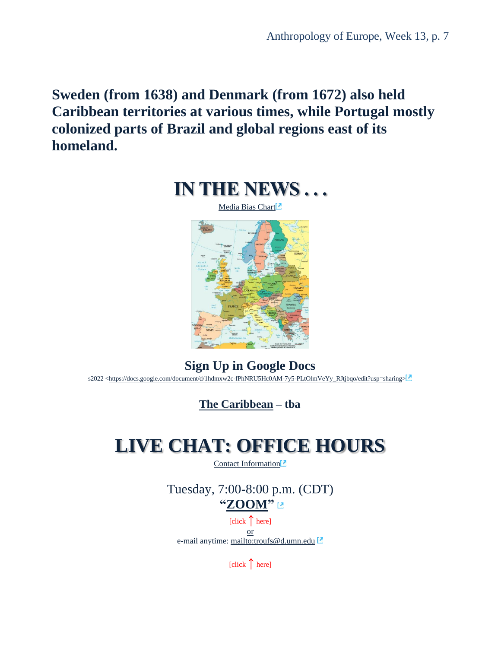<span id="page-6-0"></span>**Sweden (from 1638) and Denmark (from 1672) also held Caribbean territories at various times, while Portugal mostly colonized parts of Brazil and global regions east of its homeland.**



**Sign Up in Google Docs** s2022 [<https://docs.google.com/document/d/1hdmxw2c-fPhNRU5Hc0AM-7y5-PLtOlmVeYy\\_RJtjbqo/edit?usp=sharing>](https://docs.google.com/document/d/1hdmxw2c-fPhNRU5Hc0AM-7y5-PLtOlmVeYy_RJtjbqo/edit?usp=sharing)

**[The Caribbean](https://www.d.umn.edu/cla/faculty/troufs/anth1095/Caribbean.html#project_sources) – tba**

# <span id="page-6-1"></span>**LIVE CHAT: OFFICE HOURS**

[Contact Information](http://www.d.umn.edu/cla/faculty/troufs/anth1602/pcoffice.html#title)<sup>[2]</sup>

Tuesday, 7:00-8:00 p.m. (CDT) **["ZOOM"](https://umn.zoom.us/my/troufs)** 

[click **↑** here] or e-mail anytime: <mailto:troufs@d.umn.edu>

[click **↑** here]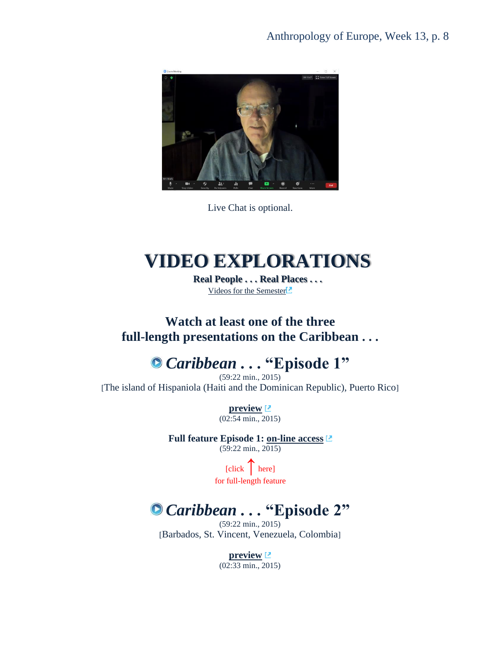

Live Chat is optional.

# <span id="page-7-0"></span>**VIDEO EXPLORATIONS**

**Real People . . . Real Places . . .** [Videos for the Semester](https://www.d.umn.edu/cla/faculty/troufs/anth3635/cevideo_schedule.html#title)

### **Watch at least one of the three full-length presentations on the Caribbean . . .**

## *Caribbean . . .* **"Episode 1"**

(59:22 min., 2015) [The island of Hispaniola (Haiti and the Dominican Republic), Puerto Rico]

> **[preview](https://www.bbcearth.com/video/?v=633899)** (02:54 min., 2015)

#### **Full feature Episode 1: [on-line access](https://video-alexanderstreet-com.libpdb.d.umn.edu:2443/watch/caribbean-with-simon-reeve-episode-1)**  $(59:22 \text{ min.}, 2015)$

[click **↑**here] for full-length feature

## *Caribbean . . .* **"Episode 2"**

(59:22 min., 2015) [Barbados, St. Vincent, Venezuela, Colombia]

> **[preview](https://www.bbcearth.com/video/?v=633900)** (02:33 min., 2015)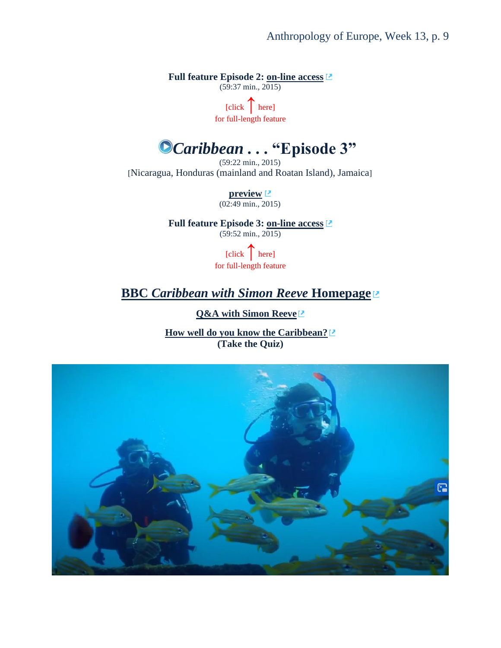Anthropology of Europe, Week 13, p. 9

**Full feature Episode 2: [on-line access](https://video-alexanderstreet-com.libpdb.d.umn.edu:2443/watch/caribbean-with-simon-reeve-episode-2)**

 $(59:37 \text{ min.}, 2015)$ 

[click **↑**here] for full-length feature

# *Caribbean . . .* **"Episode 3"**

(59:22 min., 2015) [Nicaragua, Honduras (mainland and Roatan Island), Jamaica]

> **[preview](https://www.bbcearth.com/video/?v=633901)** (02:49 min., 2015)

**Full feature Episode 3: [on-line access](https://video-alexanderstreet-com.libpdb.d.umn.edu:2443/watch/caribbean-with-simon-reeve-episode-3)** (59:52 min., 2015)

> [click **↑**here] for full-length feature

### **BBC** *[Caribbean with Simon Reeve](https://www.bbcearth.com/shows/caribbean-with-simon-reeve#_)* **Homepage**

**[Q&A with Simon Reeve](https://www.bbcearth.com/shows/caribbean-with-simon-reeve/modal/q-and-a/)**

**[How well do you know the Caribbean?](https://www.bbcearth.com/shows/caribbean-with-simon-reeve/modal/quiz/) (Take the Quiz)**

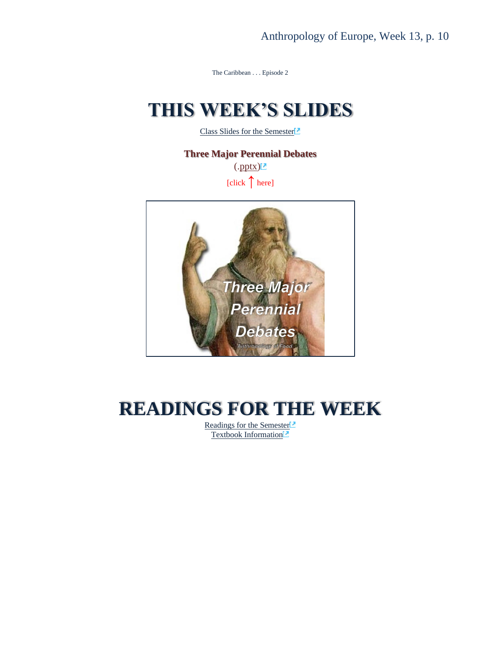The Caribbean . . . Episode 2

# <span id="page-9-0"></span>**THIS WEEK'S SLIDES**

[Class Slides for the Semester](https://www.d.umn.edu/cla/faculty/troufs/anth3635/ceslides.html#title)<sup>2</sup>

**Three Major Perennial Debates**  $(\text{.pptx})^2$ [click **↑** here]



# <span id="page-9-1"></span>**READINGS FOR THE WEEK**

[Readings for the Semester](https://www.d.umn.edu/cla/faculty/troufs/anth3635/ceread-s.html#title)<sup>[2]</sup> [Textbook Information](https://www.d.umn.edu/cla/faculty/troufs/anth3635/cetexts.html#title)<sup>[2]</sup>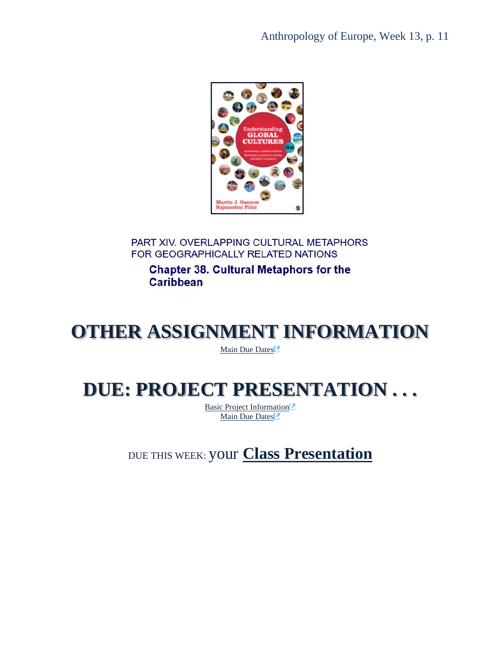Anthropology of Europe, Week 13, p. 11



PART XIV. OVERLAPPING CULTURAL METAPHORS FOR GEOGRAPHICALLY RELATED NATIONS

**Chapter 38. Cultural Metaphors for the Caribbean** 

# <span id="page-10-0"></span>**OTHER ASSIGNMENT INFORMATION**

[Main Due Dates](https://www.d.umn.edu/cla/faculty/troufs/anth3635/cedue-dates.html#title)<sup>1</sup>

# <span id="page-10-2"></span><span id="page-10-1"></span>**DUE: PROJECT PRESENTATION . . .**

[Basic Project Information](https://www.d.umn.edu/cla/faculty/troufs/anth3635/ceproject.html#title)<sup>[2]</sup> [Main Due Dates](https://www.d.umn.edu/cla/faculty/troufs/anth3635/cedue-dates.html#title)<sup>1</sup>

DUE THIS WEEK: your **[Class Presentation](https://www.d.umn.edu/cla/faculty/troufs/anth3635/cepresentations.html#title)**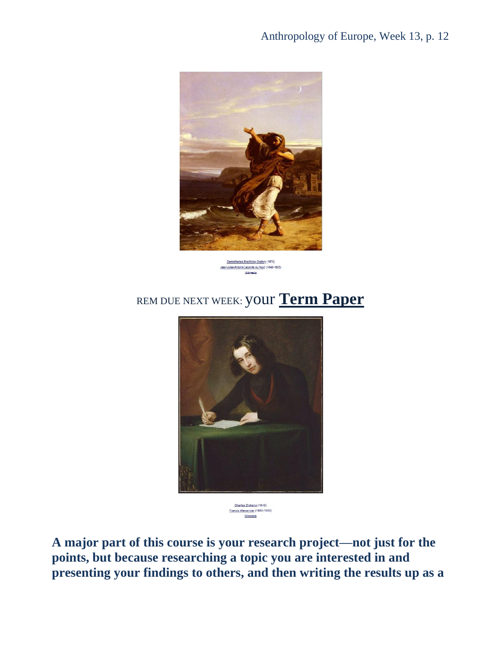

Demosthenes Practising Oratory (1870) Jean-Jules-Antoine Lecomte du Nouf, (1842-1923) Wikipedia

## REM DUE NEXT WEEK: your **[Term Paper](https://www.d.umn.edu/cla/faculty/troufs/anth3635/ceterm_paper.html#title)**



Charles Dickens (1842)<br><u>Francis Alexander</u> (1800-1880) Wikipedia

**A major part of this course is your research project—not just for the points, but because researching a topic you are interested in and presenting your findings to others, and then writing the results up as a**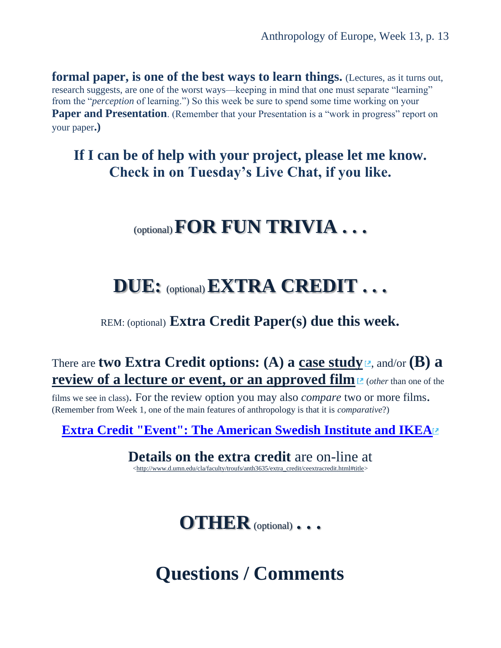**formal paper, is one of the best ways to learn things.** (Lectures, as it turns out, research suggests, are one of the worst ways—keeping in mind that one must separate "learning" from the "*perception* of learning.") So this week be sure to spend some time working on your **Paper and Presentation.** (Remember that your Presentation is a "work in progress" report on your paper**.)** 

## **If I can be of help with your project, please let me know. Check in on Tuesday's Live Chat, if you like.**

## (optional)**FOR FUN TRIVIA . . .**

## <span id="page-12-0"></span>**DUE:** (optional)**EXTRA CREDIT . . .**

### REM: (optional) **Extra Credit Paper(s) due this week.**

### There are **two Extra Credit options: (A) a [case study](https://www.d.umn.edu/cla/faculty/troufs/anth3635/ceextracredit_cs.html#title)**  $\mathbb{E}$ , and/or **(B) a [review of a lecture or event, or an approved film](https://www.d.umn.edu/cla/faculty/troufs/anth3635/ceextracredit_review.html#title)**  $\mathbb{Z}$  **(***other* **than one of the**

films we see in class). For the review option you may also *compare* two or more films. (Remember from Week 1, one of the main features of anthropology is that it is *comparative*?)

**[Extra Credit "Event": The American Swedish Institute and IKEA](https://canvas.umn.edu/courses/282731/modules/items/6598058)**

### **Details on the extra credit** are on-line at

[<http://www.d.umn.edu/cla/faculty/troufs/anth3635/extra\\_credit/ceextracredit.html#title>](http://www.d.umn.edu/cla/faculty/troufs/anth3635/extra_credit/ceextracredit.html#title)

**OTHER** (optional) **. . .**

# <span id="page-12-1"></span>**Questions / Comments**